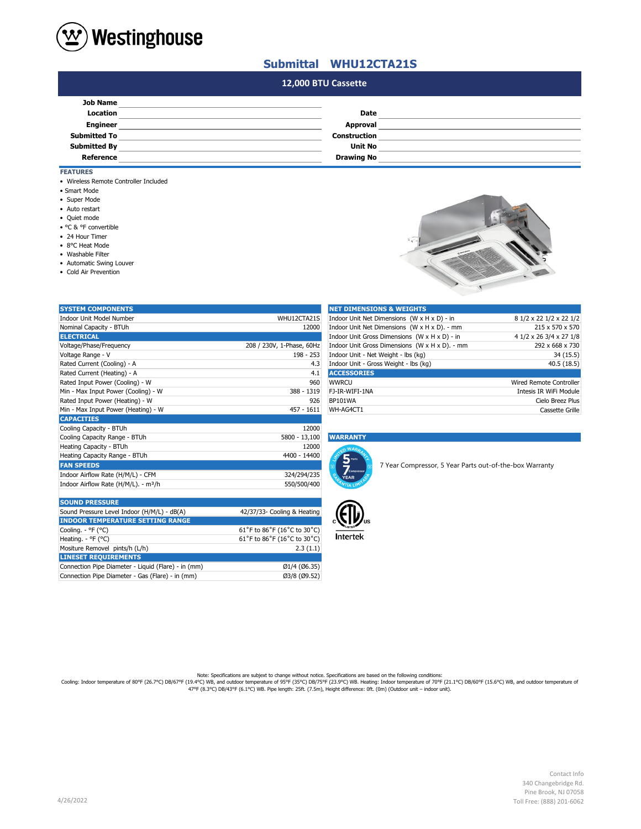

### **Submittal WHU12CTA21S**

## **#N/A 12,000 BTU Cassette**

| <b>Date</b>       |  |
|-------------------|--|
| Approval          |  |
| Construction      |  |
| <b>Unit No</b>    |  |
| <b>Drawing No</b> |  |
|                   |  |

- **FEATURES**
- Wireless Remote Controller Included
- Smart Mode
- Super Mode
- Auto restart
- Quiet mode
- °C & °F convertible
- 24 Hour Timer
- 8°C Heat Mode
- Washable Filter
- Automatic Swing Louver

Mositure Removel pints/h (L/h) **LINESET REQUIREMENTS**

Connection Pipe Diameter - Gas (Flare) - in (mm)

• Cold Air Prevention



| <b>SYSTEM COMPONENTS</b>                         |                             | <b>NET DIMENSIONS &amp; WEIGHTS</b>                     |                                |
|--------------------------------------------------|-----------------------------|---------------------------------------------------------|--------------------------------|
| <b>Indoor Unit Model Number</b>                  | WHU12CTA21S                 | Indoor Unit Net Dimensions (W x H x D) - in             | 8 1/2 x 22 1/2 x 22 1/2        |
| Nominal Capacity - BTUh                          | 12000                       | Indoor Unit Net Dimensions (W x H x D). - mm            | 215 x 570 x 570                |
| <b>ELECTRICAL</b>                                |                             | Indoor Unit Gross Dimensions (W x H x D) - in           | 4 1/2 x 26 3/4 x 27 1/8        |
| Voltage/Phase/Frequency                          | 208 / 230V, 1-Phase, 60Hz   | Indoor Unit Gross Dimensions (W x H x D). - mm          | 292 x 668 x 730                |
| Voltage Range - V                                | 198 - 253                   | Indoor Unit - Net Weight - Ibs (kg)                     | 34 (15.5)                      |
| Rated Current (Cooling) - A                      | 4.3                         | Indoor Unit - Gross Weight - lbs (kg)                   | 40.5(18.5)                     |
| Rated Current (Heating) - A                      | 4.1                         | <b>ACCESSORIES</b>                                      |                                |
| Rated Input Power (Cooling) - W                  | 960                         | <b>WWRCU</b>                                            | <b>Wired Remote Controller</b> |
| Min - Max Input Power (Cooling) - W              | 388 - 1319                  | FJ-IR-WIFI-1NA                                          | Intesis IR WiFi Module         |
| Rated Input Power (Heating) - W                  | 926                         | <b>BP101WA</b>                                          | Cielo Breez Plus               |
| Min - Max Input Power (Heating) - W              | $457 - 1611$                | WH-AG4CT1                                               | Cassette Grille                |
| <b>CAPACITIES</b>                                |                             |                                                         |                                |
| Cooling Capacity - BTUh                          | 12000                       |                                                         |                                |
| Cooling Capacity Range - BTUh                    | 5800 - 13,100               | <b>WARRANTY</b>                                         |                                |
| Heating Capacity - BTUh                          | 12000                       |                                                         |                                |
| Heating Capacity Range - BTUh                    | 4400 - 14400                | 5 <sup>parts</sup>                                      |                                |
| <b>FAN SPEEDS</b>                                |                             | 7 Year Compressor, 5 Year Parts out-of-the-box Warranty |                                |
| Indoor Airflow Rate (H/M/L) - CFM                | 324/294/235                 | Compresso<br><b>YEAR</b>                                |                                |
| Indoor Airflow Rate (H/M/L). - m <sup>3</sup> /h | 550/500/400                 |                                                         |                                |
|                                                  |                             |                                                         |                                |
| <b>SOUND PRESSURE</b>                            |                             |                                                         |                                |
| Sound Pressure Level Indoor (H/M/L) - dB(A)      | 42/37/33- Cooling & Heating |                                                         |                                |
| <b>INDOOR TEMPERATURE SETTING RANGE</b>          |                             |                                                         |                                |
| Cooling. - °F (°C)                               | 61°F to 86°F (16°C to 30°C) |                                                         |                                |
| Heating. - °F (°C)                               | 61°F to 86°F (16°C to 30°C) | <b>Intertek</b>                                         |                                |

Connection Pipe Diameter - Liquid (Flare) - in (mm) Ø1/4 (Ø6.35)

| <b>NET DIMENSIONS &amp; WEIGHTS</b>            |                                |
|------------------------------------------------|--------------------------------|
| Indoor Unit Net Dimensions (W x H x D) - in    | 8 1/2 x 22 1/2 x 22 1/2        |
| Indoor Unit Net Dimensions (W x H x D). - mm   | 215 x 570 x 570                |
| Indoor Unit Gross Dimensions (W x H x D) - in  | 4 1/2 x 26 3/4 x 27 1/8        |
| Indoor Unit Gross Dimensions (W x H x D). - mm | 292 x 668 x 730                |
| Indoor Unit - Net Weight - Ibs (kg)            | 34(15.5)                       |
| Indoor Unit - Gross Weight - Ibs (kg)          | 40.5(18.5)                     |
| <b>ACCESSORIES</b>                             |                                |
| WWRCU                                          | <b>Wired Remote Controller</b> |
| FJ-IR-WIFI-1NA                                 | Intesis IR WiFi Module         |
| <b>BP101WA</b>                                 | Cielo Breez Plus               |
| WH-AG4CT1                                      | Cassette Grille                |

### Cooling Capacity Range - BTUh 5800 - 13,100 **WARRANTY**





 $61°$ F to 86°F (16°C to 30°C)<br>2.3 (1.1)

Note: Specifications are subjext to change without notice. Specifications are based on the following conditions:<br>Cooling: Indoor temperature of 80°F (26.7°C) DB/67°F (19.4°C) WB, and outdoor temperature of 90°F (21.1°C) DB